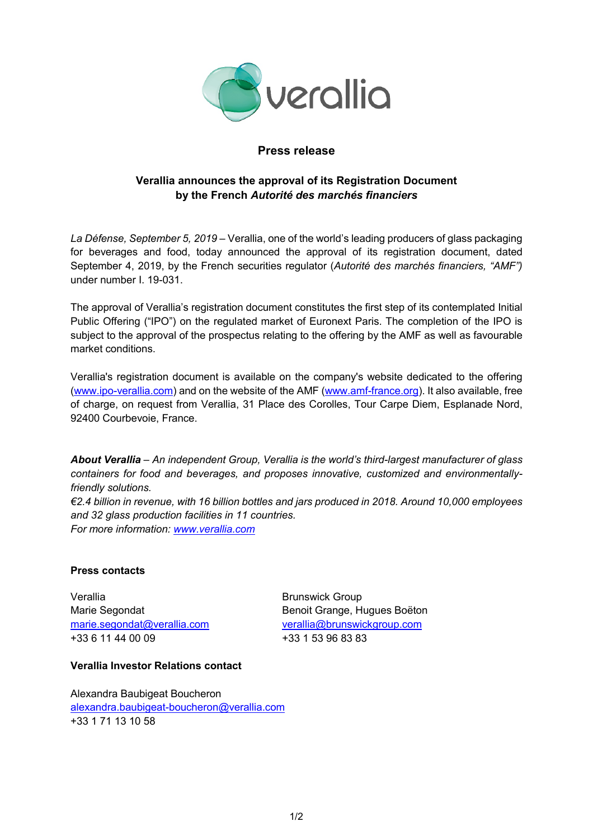

## **Press release**

# **Verallia announces the approval of its Registration Document by the French** *Autorité des marchés financiers*

*La Défense, September 5, 2019* – Verallia, one of the world's leading producers of glass packaging for beverages and food, today announced the approval of its registration document, dated September 4, 2019, by the French securities regulator (*Autorité des marchés financiers, "AMF")*  under number I. 19-031.

The approval of Verallia's registration document constitutes the first step of its contemplated Initial Public Offering ("IPO") on the regulated market of Euronext Paris. The completion of the IPO is subject to the approval of the prospectus relating to the offering by the AMF as well as favourable market conditions.

Verallia's registration document is available on the company's website dedicated to the offering [\(www.ipo-verallia.com\)](http://www.ipo-verallia.com/) and on the website of the AMF [\(www.amf-france.org\)](http://www.amf-france.org/). It also available, free of charge, on request from Verallia, 31 Place des Corolles, Tour Carpe Diem, Esplanade Nord, 92400 Courbevoie, France.

*About Verallia* – *An independent Group, Verallia is the world's third-largest manufacturer of glass containers for food and beverages, and proposes innovative, customized and environmentallyfriendly solutions. €2.4 billion in revenue, with 16 billion bottles and jars produced in 2018. Around 10,000 employees and 32 glass production facilities in 11 countries.* 

*For more information: [www.verallia.com](http://www.verallia.com/)*

## **Press contacts**

Verallia **Brunswick Group** +33 6 11 44 00 09 +33 1 53 96 83 83

Marie Segondat Benoit Grange, Hugues Boëton [marie.segondat@verallia.com](mailto:marie.segondat@verallia.com) [verallia@brunswickgroup.com](mailto:verallia@brunswickgroup.com)

## **Verallia Investor Relations contact**

Alexandra Baubigeat Boucheron [alexandra.baubigeat-boucheron@verallia.com](mailto:alexandra.baubigeat-boucheron@verallia.com) +33 1 71 13 10 58